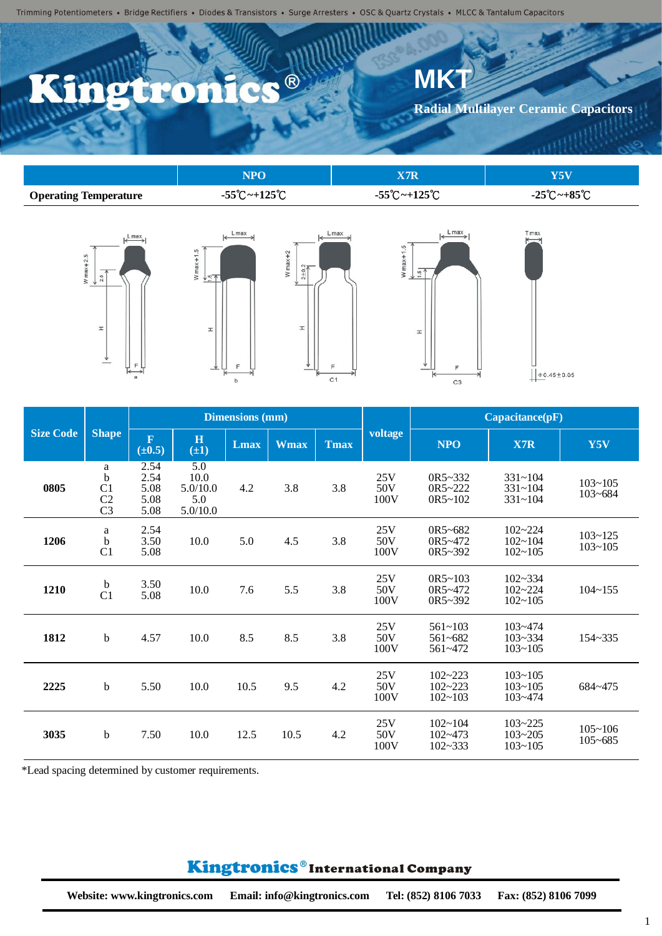# $\bullet$  ®

W max  $+1.5$ 

 $\pm$ 

 $\mathsf b$ 

#### **Radial Multilayer Ceramic Capacitors**

 $T$  max

|                              | VРO                                | 77D                                |                                   |
|------------------------------|------------------------------------|------------------------------------|-----------------------------------|
| <b>Operating Temperature</b> | $-55^{\circ}$ C ~ $+125^{\circ}$ C | $-55^{\circ}$ C ~ $+125^{\circ}$ C | $-25^{\circ}$ C ~ $+85^{\circ}$ C |







**MK** 

| r | 7               |
|---|-----------------|
|   |                 |
|   |                 |
|   | $0.45 \pm 0.05$ |

|                  |                                                  | <b>Dimensions</b> (mm)                 |                                            |             |             | Capacitance(pF) |                    |                                           |                                           |                            |
|------------------|--------------------------------------------------|----------------------------------------|--------------------------------------------|-------------|-------------|-----------------|--------------------|-------------------------------------------|-------------------------------------------|----------------------------|
| <b>Size Code</b> | <b>Shape</b>                                     | $\overline{\mathbf{F}}$<br>$(\pm 0.5)$ | H<br>$(\pm 1)$                             | <b>Lmax</b> | <b>Wmax</b> | <b>Tmax</b>     | voltage            | <b>NPO</b>                                | X7R                                       | Y5V                        |
| 0805             | a<br>b<br>C <sub>1</sub><br>C2<br>C <sub>3</sub> | 2.54<br>2.54<br>5.08<br>5.08<br>5.08   | 5.0<br>10.0<br>5.0/10.0<br>5.0<br>5.0/10.0 | 4.2         | 3.8         | 3.8             | 25V<br>50V<br>100V | $OR5 - 332$<br>$OR5 - 222$<br>$OR5 - 102$ | $331 - 104$<br>$331 - 104$<br>$331 - 104$ | $103 - 105$<br>$103 - 684$ |
| 1206             | $\mathbf{a}$<br>$\mathbf b$<br>C <sub>1</sub>    | 2.54<br>3.50<br>5.08                   | 10.0                                       | 5.0         | 4.5         | 3.8             | 25V<br>50V<br>100V | $OR5 - 682$<br>0R5~472<br>0R5~392         | $102 - 224$<br>$102 - 104$<br>$102 - 105$ | $103 - 125$<br>$103 - 105$ |
| 1210             | $\mathbf b$<br>C <sub>1</sub>                    | 3.50<br>5.08                           | 10.0                                       | 7.6         | 5.5         | 3.8             | 25V<br>50V<br>100V | $OR5 - 103$<br>0R5~472<br>0R5~392         | $102 - 334$<br>$102 - 224$<br>$102 - 105$ | $104 - 155$                |
| 1812             | $\mathbf b$                                      | 4.57                                   | 10.0                                       | 8.5         | 8.5         | 3.8             | 25V<br>50V<br>100V | $561 - 103$<br>$561 - 682$<br>$561 - 472$ | $103 - 474$<br>$103 - 334$<br>$103 - 105$ | 154~335                    |
| 2225             | $\mathbf b$                                      | 5.50                                   | 10.0                                       | 10.5        | 9.5         | 4.2             | 25V<br>50V<br>100V | $102 - 223$<br>$102 - 223$<br>$102 - 103$ | $103 - 105$<br>$103 - 105$<br>$103 - 474$ | 684~475                    |
| 3035             | $\mathbf b$                                      | 7.50                                   | 10.0                                       | 12.5        | 10.5        | 4.2             | 25V<br>50V<br>100V | $102 - 104$<br>$102 - 473$<br>$102 - 333$ | $103 - 225$<br>$103 - 205$<br>$103 - 105$ | $105 - 106$<br>$105 - 685$ |

\*Lead spacing determined by customer requirements.

### Kingtronics®International Company

1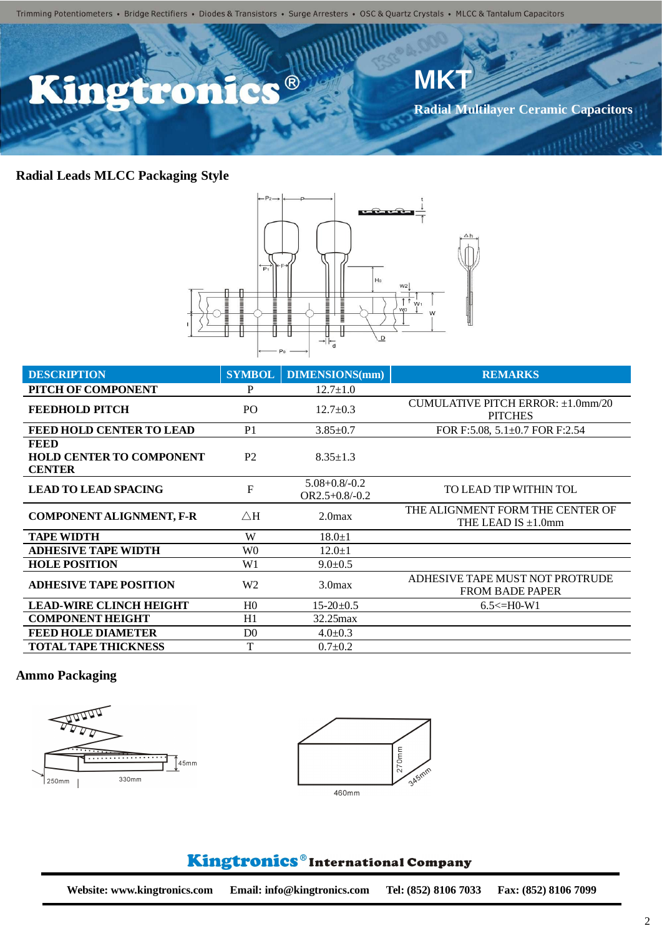Trimming Potentiometers • Bridge Rectifiers • Diodes & Transistors • Surge Arresters • OSC & Quartz Crystals • MLCC & Tantalum Capacitors



### **Radial Leads MLCC Packaging Style**



| <b>DESCRIPTION</b>                                              | <b>SYMBOL</b>  | <b>DIMENSIONS(mm)</b>                      | <b>REMARKS</b>                                               |
|-----------------------------------------------------------------|----------------|--------------------------------------------|--------------------------------------------------------------|
| PITCH OF COMPONENT                                              | P              | $12.7 \pm 1.0$                             |                                                              |
| <b>FEEDHOLD PITCH</b>                                           | PO.            | $12.7 \pm 0.3$                             | CUMULATIVE PITCH ERROR: ±1.0mm/20<br><b>PITCHES</b>          |
| <b>FEED HOLD CENTER TO LEAD</b>                                 | P <sub>1</sub> | $3.85 \pm 0.7$                             | FOR F:5.08, $5.1\pm0.7$ FOR F:2.54                           |
| <b>FEED</b><br><b>HOLD CENTER TO COMPONENT</b><br><b>CENTER</b> | P <sub>2</sub> | $8.35 \pm 1.3$                             |                                                              |
| <b>LEAD TO LEAD SPACING</b>                                     | F              | $5.08 + 0.8 / -0.2$<br>$OR2.5 + 0.8 - 0.2$ | TO LEAD TIP WITHIN TOL                                       |
| <b>COMPONENT ALIGNMENT, F-R</b>                                 | $\triangle H$  | 2.0 <sub>max</sub>                         | THE ALIGNMENT FORM THE CENTER OF<br>THE LEAD IS $\pm 1.0$ mm |
| <b>TAPE WIDTH</b>                                               | W              | $18.0 \pm 1$                               |                                                              |
| <b>ADHESIVE TAPE WIDTH</b>                                      | W <sub>0</sub> | $12.0 \pm 1$                               |                                                              |
| <b>HOLE POSITION</b>                                            | W <sub>1</sub> | $9.0 \pm 0.5$                              |                                                              |
| <b>ADHESIVE TAPE POSITION</b>                                   | W <sub>2</sub> | 3.0 <sub>max</sub>                         | ADHESIVE TAPE MUST NOT PROTRUDE<br><b>FROM BADE PAPER</b>    |
| <b>LEAD-WIRE CLINCH HEIGHT</b>                                  | H <sub>0</sub> | $15-20+0.5$                                | $6.5 \leq H0-W1$                                             |
| <b>COMPONENT HEIGHT</b>                                         | H1             | $32.25$ max                                |                                                              |
| <b>FEED HOLE DIAMETER</b>                                       | D <sub>0</sub> | $4.0 \pm 0.3$                              |                                                              |
| <b>TOTAL TAPE THICKNESS</b>                                     | T              | $0.7 \pm 0.2$                              |                                                              |

#### **Ammo Packaging**





## Kingtronics®International Company